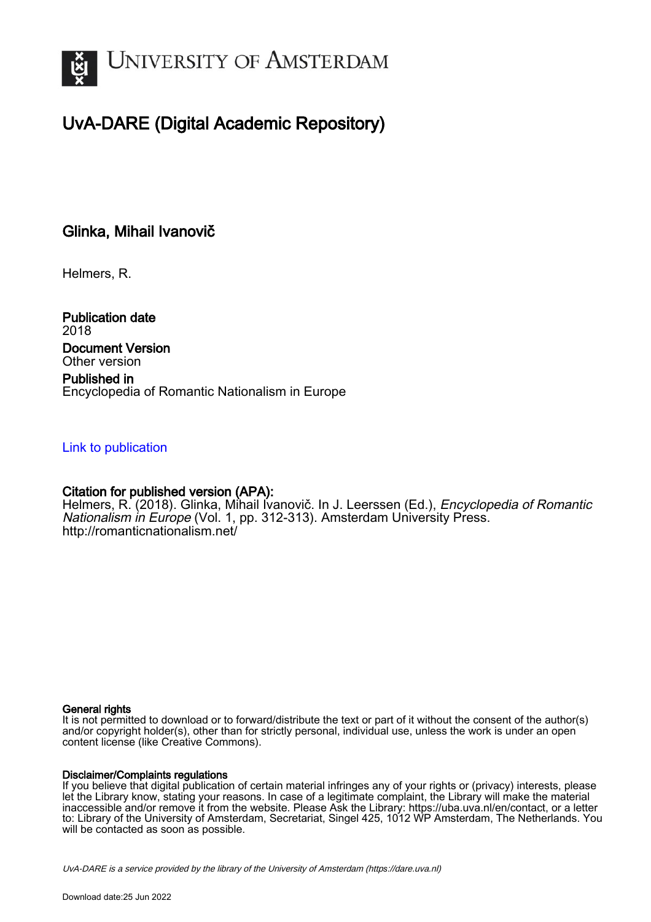

# UvA-DARE (Digital Academic Repository)

## Glinka, Mihail Ivanovič

Helmers, R.

Publication date 2018 Document Version Other version

Published in Encyclopedia of Romantic Nationalism in Europe

## [Link to publication](https://dare.uva.nl/personal/pure/en/publications/glinka-mihail-ivanovi(3764fb0c-ad3f-4511-93e9-1afbbf111fb8).html)

## Citation for published version (APA):

Helmers, R. (2018). Glinka, Mihail Ivanovič. In J. Leerssen (Ed.), *Encyclopedia of Romantic* Nationalism in Europe (Vol. 1, pp. 312-313). Amsterdam University Press. <http://romanticnationalism.net/>

#### General rights

It is not permitted to download or to forward/distribute the text or part of it without the consent of the author(s) and/or copyright holder(s), other than for strictly personal, individual use, unless the work is under an open content license (like Creative Commons).

#### Disclaimer/Complaints regulations

If you believe that digital publication of certain material infringes any of your rights or (privacy) interests, please let the Library know, stating your reasons. In case of a legitimate complaint, the Library will make the material inaccessible and/or remove it from the website. Please Ask the Library: https://uba.uva.nl/en/contact, or a letter to: Library of the University of Amsterdam, Secretariat, Singel 425, 1012 WP Amsterdam, The Netherlands. You will be contacted as soon as possible.

UvA-DARE is a service provided by the library of the University of Amsterdam (http*s*://dare.uva.nl)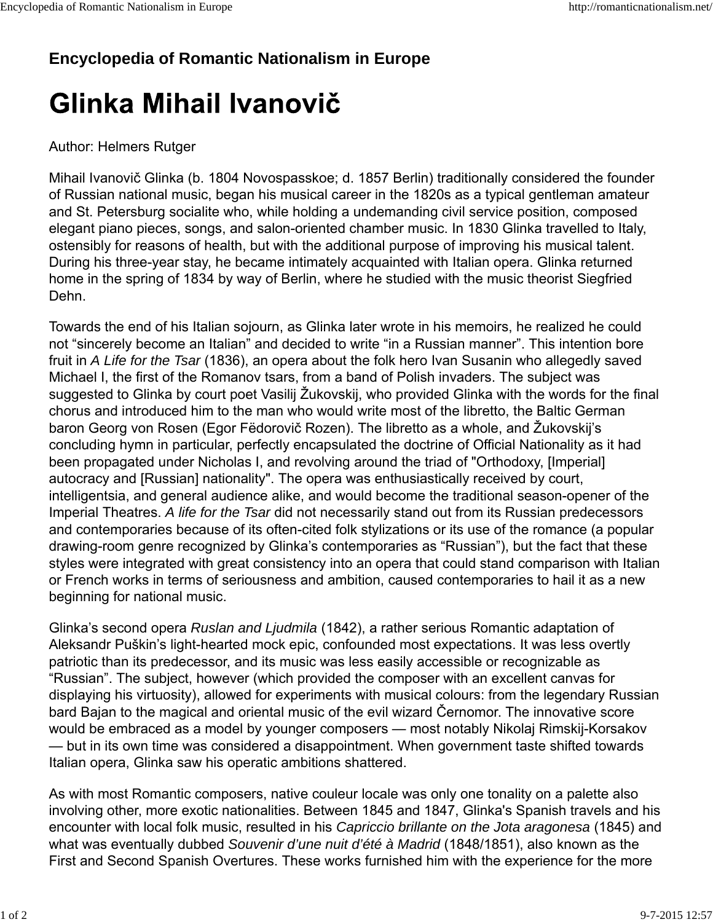## **Encyclopedia of Romantic Nationalism in Europe**

# Glinka Mihail Ivanovič

## Author: Helmers Rutger

Mihail Ivanovič Glinka (b. 1804 Novospasskoe; d. 1857 Berlin) traditionally considered the founder of Russian national music, began his musical career in the 1820s as a typical gentleman amateur and St. Petersburg socialite who, while holding a undemanding civil service position, composed elegant piano pieces, songs, and salon-oriented chamber music. In 1830 Glinka travelled to Italy, ostensibly for reasons of health, but with the additional purpose of improving his musical talent. During his three-year stay, he became intimately acquainted with Italian opera. Glinka returned home in the spring of 1834 by way of Berlin, where he studied with the music theorist Siegfried Dehn.

Towards the end of his Italian sojourn, as Glinka later wrote in his memoirs, he realized he could not "sincerely become an Italian" and decided to write "in a Russian manner". This intention bore fruit in *A Life for the Tsar* (1836), an opera about the folk hero Ivan Susanin who allegedly saved Michael I, the first of the Romanov tsars, from a band of Polish invaders. The subject was suggested to Glinka by court poet Vasilij Žukovskij, who provided Glinka with the words for the final chorus and introduced him to the man who would write most of the libretto, the Baltic German baron Georg von Rosen (Egor Fëdorovič Rozen). The libretto as a whole, and Žukovskij's concluding hymn in particular, perfectly encapsulated the doctrine of Official Nationality as it had been propagated under Nicholas I, and revolving around the triad of "Orthodoxy, [Imperial] autocracy and [Russian] nationality". The opera was enthusiastically received by court, intelligentsia, and general audience alike, and would become the traditional season-opener of the Imperial Theatres. *A life for the Tsar* did not necessarily stand out from its Russian predecessors and contemporaries because of its often-cited folk stylizations or its use of the romance (a popular drawing-room genre recognized by Glinka's contemporaries as "Russian"), but the fact that these styles were integrated with great consistency into an opera that could stand comparison with Italian or French works in terms of seriousness and ambition, caused contemporaries to hail it as a new beginning for national music.

Glinka's second opera *Ruslan and Ljudmila* (1842), a rather serious Romantic adaptation of Aleksandr Puškin's light-hearted mock epic, confounded most expectations. It was less overtly patriotic than its predecessor, and its music was less easily accessible or recognizable as "Russian". The subject, however (which provided the composer with an excellent canvas for displaying his virtuosity), allowed for experiments with musical colours: from the legendary Russian bard Bajan to the magical and oriental music of the evil wizard Černomor. The innovative score would be embraced as a model by younger composers — most notably Nikolaj Rimskij-Korsakov — but in its own time was considered a disappointment. When government taste shifted towards Italian opera, Glinka saw his operatic ambitions shattered.

As with most Romantic composers, native couleur locale was only one tonality on a palette also involving other, more exotic nationalities. Between 1845 and 1847, Glinka's Spanish travels and his encounter with local folk music, resulted in his *Capriccio brillante on the Jota aragonesa* (1845) and what was eventually dubbed *Souvenir d'une nuit d'été à Madrid* (1848/1851), also known as the First and Second Spanish Overtures. These works furnished him with the experience for the more